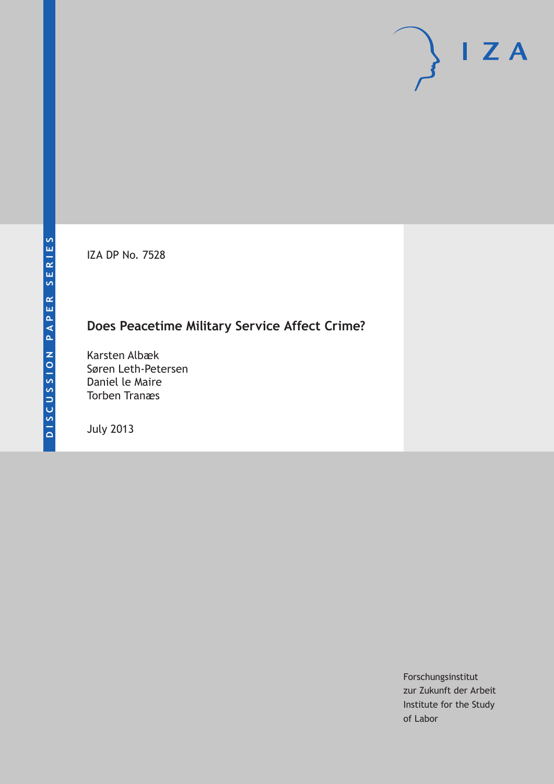IZA DP No. 7528

# **Does Peacetime Military Service Affect Crime?**

Karsten Albæk Søren Leth-Petersen Daniel le Maire Torben Tranæs

July 2013

Forschungsinstitut zur Zukunft der Arbeit Institute for the Study of Labor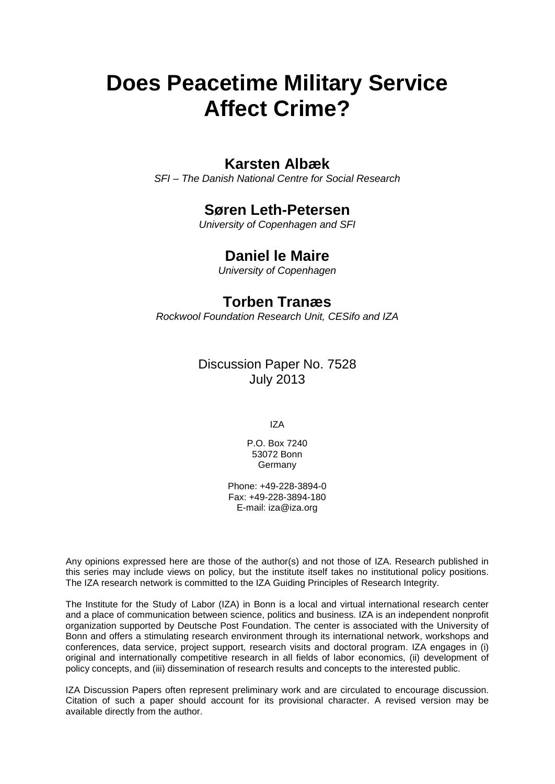# **Does Peacetime Military Service Affect Crime?**

### **Karsten Albæk**

*SFI – The Danish National Centre for Social Research*

### **Søren Leth-Petersen**

*University of Copenhagen and SFI*

## **Daniel le Maire**

*University of Copenhagen*

### **Torben Tranæs**

*Rockwool Foundation Research Unit, CESifo and IZA*

Discussion Paper No. 7528 July 2013

IZA

P.O. Box 7240 53072 Bonn Germany

Phone: +49-228-3894-0 Fax: +49-228-3894-180 E-mail: [iza@iza.org](mailto:iza@iza.org)

Any opinions expressed here are those of the author(s) and not those of IZA. Research published in this series may include views on policy, but the institute itself takes no institutional policy positions. The IZA research network is committed to the IZA Guiding Principles of Research Integrity.

The Institute for the Study of Labor (IZA) in Bonn is a local and virtual international research center and a place of communication between science, politics and business. IZA is an independent nonprofit organization supported by Deutsche Post Foundation. The center is associated with the University of Bonn and offers a stimulating research environment through its international network, workshops and conferences, data service, project support, research visits and doctoral program. IZA engages in (i) original and internationally competitive research in all fields of labor economics, (ii) development of policy concepts, and (iii) dissemination of research results and concepts to the interested public.

<span id="page-1-0"></span>IZA Discussion Papers often represent preliminary work and are circulated to encourage discussion. Citation of such a paper should account for its provisional character. A revised version may be available directly from the author.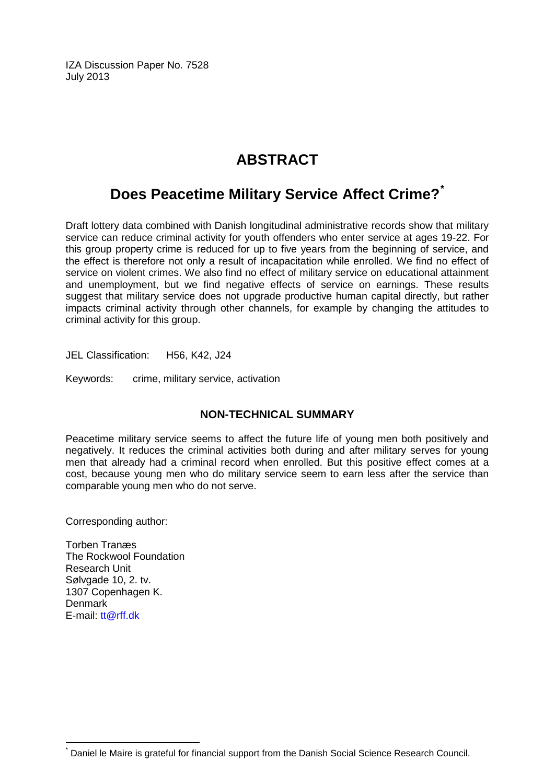IZA Discussion Paper No. 7528 July 2013

# **ABSTRACT**

# **Does Peacetime Military Service Affect Crime?[\\*](#page-1-0)**

Draft lottery data combined with Danish longitudinal administrative records show that military service can reduce criminal activity for youth offenders who enter service at ages 19-22. For this group property crime is reduced for up to five years from the beginning of service, and the effect is therefore not only a result of incapacitation while enrolled. We find no effect of service on violent crimes. We also find no effect of military service on educational attainment and unemployment, but we find negative effects of service on earnings. These results suggest that military service does not upgrade productive human capital directly, but rather impacts criminal activity through other channels, for example by changing the attitudes to criminal activity for this group.

JEL Classification: H56, K42, J24

Keywords: crime, military service, activation

### **NON-TECHNICAL SUMMARY**

Peacetime military service seems to affect the future life of young men both positively and negatively. It reduces the criminal activities both during and after military serves for young men that already had a criminal record when enrolled. But this positive effect comes at a cost, because young men who do military service seem to earn less after the service than comparable young men who do not serve.

Corresponding author:

Torben Tranæs The Rockwool Foundation Research Unit Sølvgade 10, 2. tv. 1307 Copenhagen K. Denmark E-mail: [tt@rff.dk](mailto:tt@rff.dk)

Daniel le Maire is grateful for financial support from the Danish Social Science Research Council.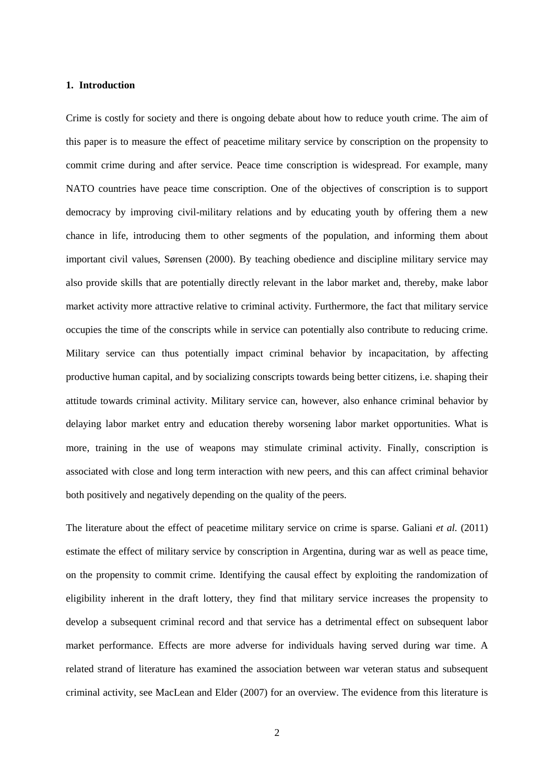#### **1. Introduction**

Crime is costly for society and there is ongoing debate about how to reduce youth crime. The aim of this paper is to measure the effect of peacetime military service by conscription on the propensity to commit crime during and after service. Peace time conscription is widespread. For example, many NATO countries have peace time conscription. One of the objectives of conscription is to support democracy by improving civil-military relations and by educating youth by offering them a new chance in life, introducing them to other segments of the population, and informing them about important civil values, Sørensen (2000). By teaching obedience and discipline military service may also provide skills that are potentially directly relevant in the labor market and, thereby, make labor market activity more attractive relative to criminal activity. Furthermore, the fact that military service occupies the time of the conscripts while in service can potentially also contribute to reducing crime. Military service can thus potentially impact criminal behavior by incapacitation, by affecting productive human capital, and by socializing conscripts towards being better citizens, i.e. shaping their attitude towards criminal activity. Military service can, however, also enhance criminal behavior by delaying labor market entry and education thereby worsening labor market opportunities. What is more, training in the use of weapons may stimulate criminal activity. Finally, conscription is associated with close and long term interaction with new peers, and this can affect criminal behavior both positively and negatively depending on the quality of the peers.

The literature about the effect of peacetime military service on crime is sparse. Galiani *et al.* (2011) estimate the effect of military service by conscription in Argentina, during war as well as peace time, on the propensity to commit crime. Identifying the causal effect by exploiting the randomization of eligibility inherent in the draft lottery, they find that military service increases the propensity to develop a subsequent criminal record and that service has a detrimental effect on subsequent labor market performance. Effects are more adverse for individuals having served during war time. A related strand of literature has examined the association between war veteran status and subsequent criminal activity, see MacLean and Elder (2007) for an overview. The evidence from this literature is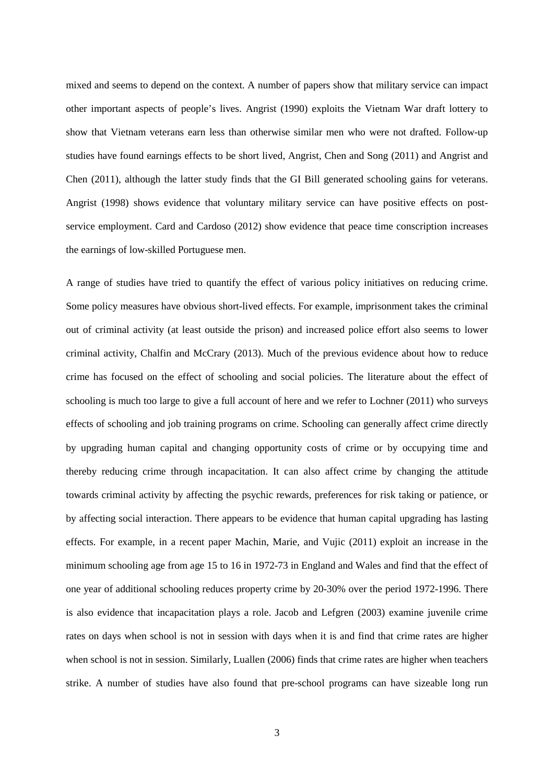mixed and seems to depend on the context. A number of papers show that military service can impact other important aspects of people's lives. Angrist (1990) exploits the Vietnam War draft lottery to show that Vietnam veterans earn less than otherwise similar men who were not drafted. Follow-up studies have found earnings effects to be short lived, Angrist, Chen and Song (2011) and Angrist and Chen (2011), although the latter study finds that the GI Bill generated schooling gains for veterans. Angrist (1998) shows evidence that voluntary military service can have positive effects on postservice employment. Card and Cardoso (2012) show evidence that peace time conscription increases the earnings of low-skilled Portuguese men.

A range of studies have tried to quantify the effect of various policy initiatives on reducing crime. Some policy measures have obvious short-lived effects. For example, imprisonment takes the criminal out of criminal activity (at least outside the prison) and increased police effort also seems to lower criminal activity, Chalfin and McCrary (2013). Much of the previous evidence about how to reduce crime has focused on the effect of schooling and social policies. The literature about the effect of schooling is much too large to give a full account of here and we refer to Lochner (2011) who surveys effects of schooling and job training programs on crime. Schooling can generally affect crime directly by upgrading human capital and changing opportunity costs of crime or by occupying time and thereby reducing crime through incapacitation. It can also affect crime by changing the attitude towards criminal activity by affecting the psychic rewards, preferences for risk taking or patience, or by affecting social interaction. There appears to be evidence that human capital upgrading has lasting effects. For example, in a recent paper Machin, Marie, and Vujic (2011) exploit an increase in the minimum schooling age from age 15 to 16 in 1972-73 in England and Wales and find that the effect of one year of additional schooling reduces property crime by 20-30% over the period 1972-1996. There is also evidence that incapacitation plays a role. Jacob and Lefgren (2003) examine juvenile crime rates on days when school is not in session with days when it is and find that crime rates are higher when school is not in session. Similarly, Luallen (2006) finds that crime rates are higher when teachers strike. A number of studies have also found that pre-school programs can have sizeable long run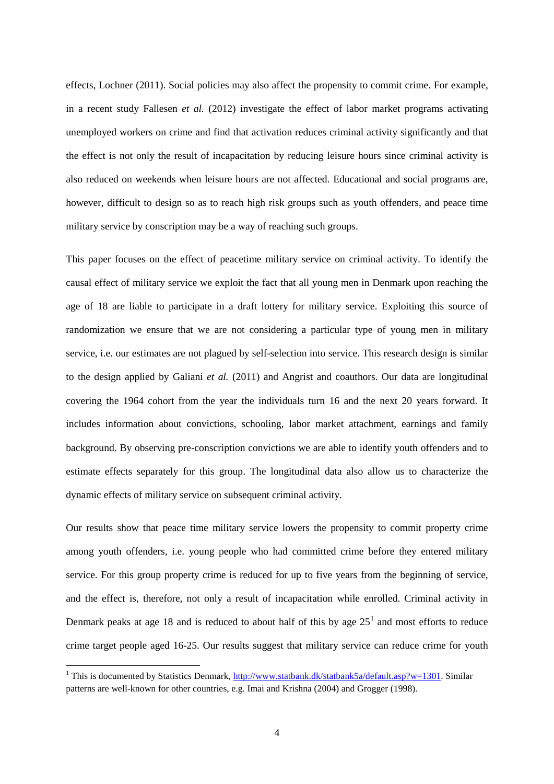effects, Lochner (2011). Social policies may also affect the propensity to commit crime. For example, in a recent study Fallesen *et al.* (2012) investigate the effect of labor market programs activating unemployed workers on crime and find that activation reduces criminal activity significantly and that the effect is not only the result of incapacitation by reducing leisure hours since criminal activity is also reduced on weekends when leisure hours are not affected. Educational and social programs are, however, difficult to design so as to reach high risk groups such as youth offenders, and peace time military service by conscription may be a way of reaching such groups.

This paper focuses on the effect of peacetime military service on criminal activity. To identify the causal effect of military service we exploit the fact that all young men in Denmark upon reaching the age of 18 are liable to participate in a draft lottery for military service. Exploiting this source of randomization we ensure that we are not considering a particular type of young men in military service, i.e. our estimates are not plagued by self-selection into service. This research design is similar to the design applied by Galiani *et al.* (2011) and Angrist and coauthors. Our data are longitudinal covering the 1964 cohort from the year the individuals turn 16 and the next 20 years forward. It includes information about convictions, schooling, labor market attachment, earnings and family background. By observing pre-conscription convictions we are able to identify youth offenders and to estimate effects separately for this group. The longitudinal data also allow us to characterize the dynamic effects of military service on subsequent criminal activity.

Our results show that peace time military service lowers the propensity to commit property crime among youth offenders, i.e. young people who had committed crime before they entered military service. For this group property crime is reduced for up to five years from the beginning of service, and the effect is, therefore, not only a result of incapacitation while enrolled. Criminal activity in Denmark peaks at age [1](#page-5-0)8 and is reduced to about half of this by age  $25<sup>1</sup>$  and most efforts to reduce crime target people aged 16-25. Our results suggest that military service can reduce crime for youth

**.** 

<span id="page-5-0"></span><sup>&</sup>lt;sup>1</sup> This is documented by Statistics Denmark, [http://www.statbank.dk/statbank5a/default.asp?w=1301.](http://www.statbank.dk/statbank5a/default.asp?w=1301) Similar patterns are well-known for other countries, e.g. Imai and Krishna (2004) and Grogger (1998).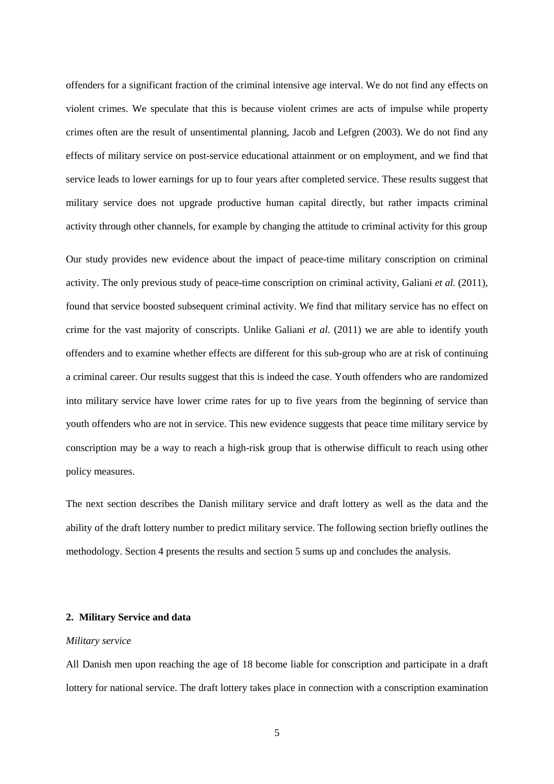offenders for a significant fraction of the criminal intensive age interval. We do not find any effects on violent crimes. We speculate that this is because violent crimes are acts of impulse while property crimes often are the result of unsentimental planning, Jacob and Lefgren (2003). We do not find any effects of military service on post-service educational attainment or on employment, and we find that service leads to lower earnings for up to four years after completed service. These results suggest that military service does not upgrade productive human capital directly, but rather impacts criminal activity through other channels, for example by changing the attitude to criminal activity for this group

Our study provides new evidence about the impact of peace-time military conscription on criminal activity. The only previous study of peace-time conscription on criminal activity, Galiani *et al.* (2011), found that service boosted subsequent criminal activity. We find that military service has no effect on crime for the vast majority of conscripts. Unlike Galiani *et al.* (2011) we are able to identify youth offenders and to examine whether effects are different for this sub-group who are at risk of continuing a criminal career. Our results suggest that this is indeed the case. Youth offenders who are randomized into military service have lower crime rates for up to five years from the beginning of service than youth offenders who are not in service. This new evidence suggests that peace time military service by conscription may be a way to reach a high-risk group that is otherwise difficult to reach using other policy measures.

The next section describes the Danish military service and draft lottery as well as the data and the ability of the draft lottery number to predict military service. The following section briefly outlines the methodology. Section 4 presents the results and section 5 sums up and concludes the analysis.

#### **2. Military Service and data**

#### *Military service*

All Danish men upon reaching the age of 18 become liable for conscription and participate in a draft lottery for national service. The draft lottery takes place in connection with a conscription examination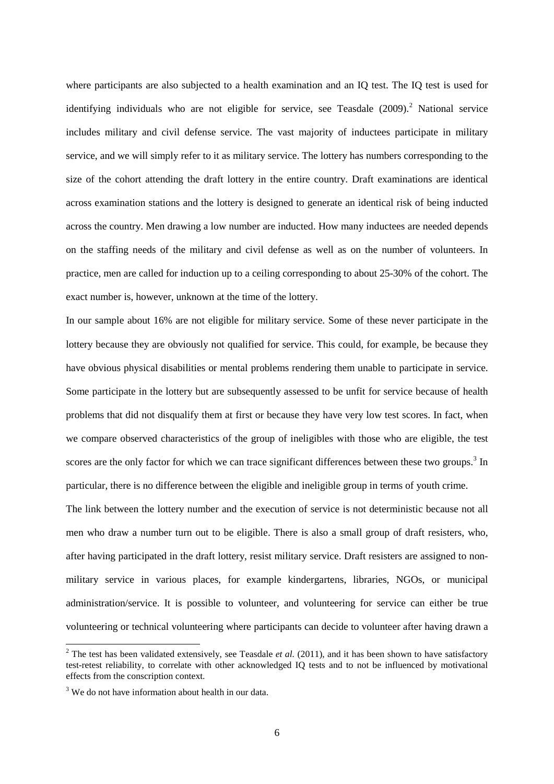where participants are also subjected to a health examination and an IQ test. The IQ test is used for identifying individuals who are not eligible for service, see Teasdale ([2](#page-7-0)009).<sup>2</sup> National service includes military and civil defense service. The vast majority of inductees participate in military service, and we will simply refer to it as military service. The lottery has numbers corresponding to the size of the cohort attending the draft lottery in the entire country. Draft examinations are identical across examination stations and the lottery is designed to generate an identical risk of being inducted across the country. Men drawing a low number are inducted. How many inductees are needed depends on the staffing needs of the military and civil defense as well as on the number of volunteers. In practice, men are called for induction up to a ceiling corresponding to about 25-30% of the cohort. The exact number is, however, unknown at the time of the lottery.

In our sample about 16% are not eligible for military service. Some of these never participate in the lottery because they are obviously not qualified for service. This could, for example, be because they have obvious physical disabilities or mental problems rendering them unable to participate in service. Some participate in the lottery but are subsequently assessed to be unfit for service because of health problems that did not disqualify them at first or because they have very low test scores. In fact, when we compare observed characteristics of the group of ineligibles with those who are eligible, the test scores are the only factor for which we can trace significant differences between these two groups.<sup>[3](#page-7-1)</sup> In particular, there is no difference between the eligible and ineligible group in terms of youth crime.

The link between the lottery number and the execution of service is not deterministic because not all men who draw a number turn out to be eligible. There is also a small group of draft resisters, who, after having participated in the draft lottery, resist military service. Draft resisters are assigned to nonmilitary service in various places, for example kindergartens, libraries, NGOs, or municipal administration/service. It is possible to volunteer, and volunteering for service can either be true volunteering or technical volunteering where participants can decide to volunteer after having drawn a

<span id="page-7-0"></span><sup>&</sup>lt;sup>2</sup> The test has been validated extensively, see Teasdale *et al.* (2011), and it has been shown to have satisfactory test-retest reliability, to correlate with other acknowledged IQ tests and to not be influenced by motivational effects from the conscription context.

<span id="page-7-1"></span><sup>&</sup>lt;sup>3</sup> We do not have information about health in our data.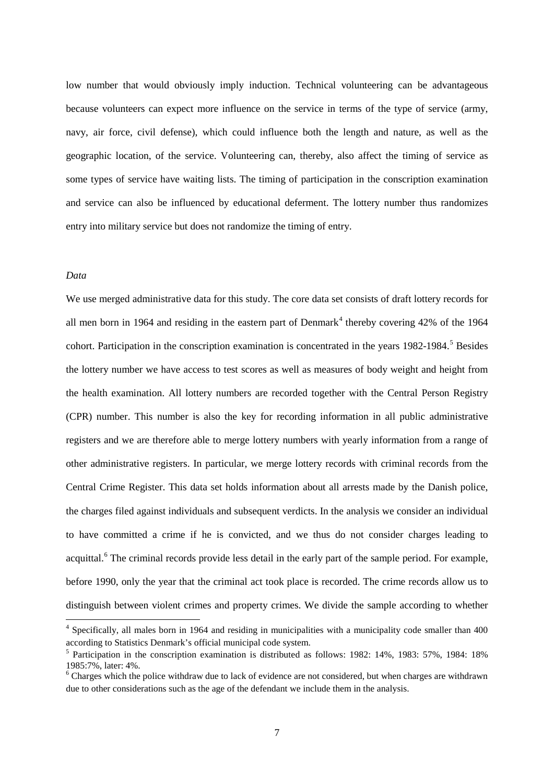low number that would obviously imply induction. Technical volunteering can be advantageous because volunteers can expect more influence on the service in terms of the type of service (army, navy, air force, civil defense), which could influence both the length and nature, as well as the geographic location, of the service. Volunteering can, thereby, also affect the timing of service as some types of service have waiting lists. The timing of participation in the conscription examination and service can also be influenced by educational deferment. The lottery number thus randomizes entry into military service but does not randomize the timing of entry.

#### *Data*

**.** 

We use merged administrative data for this study. The core data set consists of draft lottery records for all men born in 196[4](#page-8-0) and residing in the eastern part of Denmark<sup>4</sup> thereby covering 42% of the 1964 cohort. Participation in the conscription examination is concentrated in the years 1982-1984. [5](#page-8-1) Besides the lottery number we have access to test scores as well as measures of body weight and height from the health examination. All lottery numbers are recorded together with the Central Person Registry (CPR) number. This number is also the key for recording information in all public administrative registers and we are therefore able to merge lottery numbers with yearly information from a range of other administrative registers. In particular, we merge lottery records with criminal records from the Central Crime Register. This data set holds information about all arrests made by the Danish police, the charges filed against individuals and subsequent verdicts. In the analysis we consider an individual to have committed a crime if he is convicted, and we thus do not consider charges leading to acquittal.<sup>[6](#page-8-2)</sup> The criminal records provide less detail in the early part of the sample period. For example, before 1990, only the year that the criminal act took place is recorded. The crime records allow us to distinguish between violent crimes and property crimes. We divide the sample according to whether

<span id="page-8-0"></span><sup>4</sup> Specifically, all males born in 1964 and residing in municipalities with a municipality code smaller than 400 according to Statistics Denmark's official municipal code system.

<span id="page-8-1"></span><sup>5</sup> Participation in the conscription examination is distributed as follows: 1982: 14%, 1983: 57%, 1984: 18% 1985:7%, later: 4%.

<span id="page-8-2"></span><sup>6</sup> Charges which the police withdraw due to lack of evidence are not considered, but when charges are withdrawn due to other considerations such as the age of the defendant we include them in the analysis.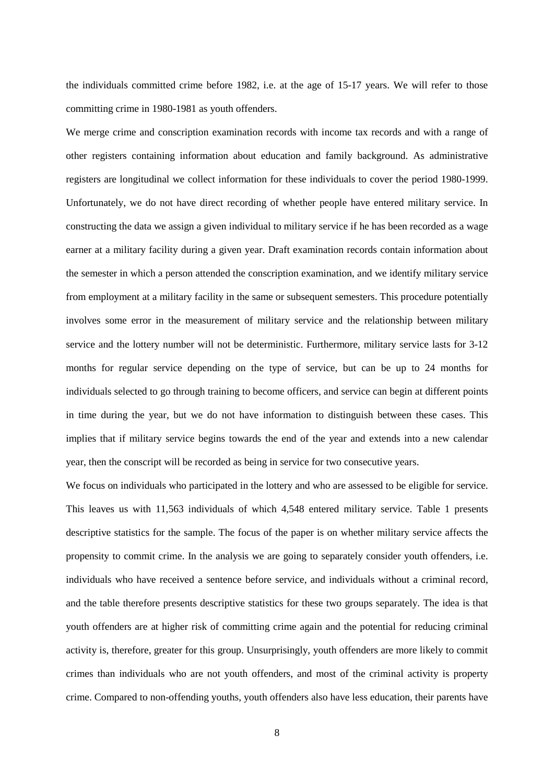the individuals committed crime before 1982, i.e. at the age of 15-17 years. We will refer to those committing crime in 1980-1981 as youth offenders.

We merge crime and conscription examination records with income tax records and with a range of other registers containing information about education and family background. As administrative registers are longitudinal we collect information for these individuals to cover the period 1980-1999. Unfortunately, we do not have direct recording of whether people have entered military service. In constructing the data we assign a given individual to military service if he has been recorded as a wage earner at a military facility during a given year. Draft examination records contain information about the semester in which a person attended the conscription examination, and we identify military service from employment at a military facility in the same or subsequent semesters. This procedure potentially involves some error in the measurement of military service and the relationship between military service and the lottery number will not be deterministic. Furthermore, military service lasts for 3-12 months for regular service depending on the type of service, but can be up to 24 months for individuals selected to go through training to become officers, and service can begin at different points in time during the year, but we do not have information to distinguish between these cases. This implies that if military service begins towards the end of the year and extends into a new calendar year, then the conscript will be recorded as being in service for two consecutive years.

We focus on individuals who participated in the lottery and who are assessed to be eligible for service. This leaves us with 11,563 individuals of which 4,548 entered military service. Table 1 presents descriptive statistics for the sample. The focus of the paper is on whether military service affects the propensity to commit crime. In the analysis we are going to separately consider youth offenders, i.e. individuals who have received a sentence before service, and individuals without a criminal record, and the table therefore presents descriptive statistics for these two groups separately. The idea is that youth offenders are at higher risk of committing crime again and the potential for reducing criminal activity is, therefore, greater for this group. Unsurprisingly, youth offenders are more likely to commit crimes than individuals who are not youth offenders, and most of the criminal activity is property crime. Compared to non-offending youths, youth offenders also have less education, their parents have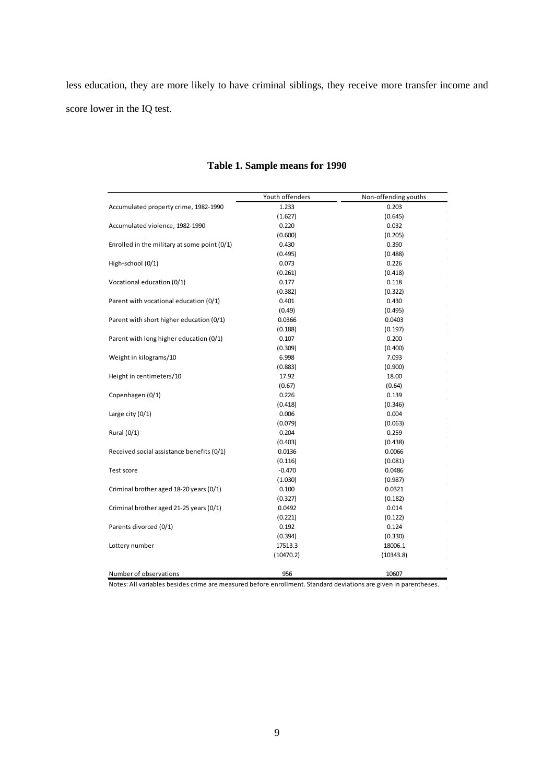less education, they are more likely to have criminal siblings, they receive more transfer income and score lower in the IQ test.

|                                              | Youth offenders | Non-offending youths |
|----------------------------------------------|-----------------|----------------------|
| Accumulated property crime, 1982-1990        | 1.233           | 0.203                |
|                                              | (1.627)         | (0.645)              |
| Accumulated violence, 1982-1990              | 0.220           | 0.032                |
|                                              | (0.600)         | (0.205)              |
| Enrolled in the military at some point (0/1) | 0.430           | 0.390                |
|                                              | (0.495)         | (0.488)              |
| High-school (0/1)                            | 0.073           | 0.226<br>$\sim$      |
|                                              | (0.261)         | (0.418)              |
| Vocational education (0/1)                   | 0.177           | 0.118                |
|                                              | (0.382)         | (0.322)              |
| Parent with vocational education (0/1)       | 0.401           | 0.430<br>$\sim$      |
|                                              | (0.49)          | (0.495)              |
| Parent with short higher education (0/1)     | 0.0366          | 0.0403               |
|                                              | (0.188)         | (0.197)              |
| Parent with long higher education (0/1)      | 0.107           | 0.200                |
|                                              | (0.309)         | (0.400)              |
| Weight in kilograms/10                       | 6.998           | 7.093                |
|                                              | (0.883)         | (0.900)              |
| Height in centimeters/10                     | 17.92           | 18.00                |
|                                              | (0.67)          | (0.64)               |
| Copenhagen (0/1)                             | 0.226           | 0.139                |
|                                              | (0.418)         | (0.346)<br>$\alpha$  |
| Large city $(0/1)$                           | 0.006           | 0.004<br>$\sim$      |
|                                              | (0.079)         | (0.063)<br>$\alpha$  |
| Rural (0/1)                                  | 0.204           | 0.259<br>$\alpha$    |
|                                              | (0.403)         | (0.438)              |
| Received social assistance benefits (0/1)    | 0.0136          | 0.0066               |
|                                              | (0.116)         | (0.081)<br>$\alpha$  |
| Test score                                   | $-0.470$        | 0.0486               |
|                                              | (1.030)         | (0.987)              |
| Criminal brother aged 18-20 years (0/1)      | 0.100           | 0.0321               |
|                                              | (0.327)         | (0.182)              |
| Criminal brother aged 21-25 years (0/1)      | 0.0492          | 0.014                |
|                                              | (0.221)         | (0.122)              |
| Parents divorced (0/1)                       | 0.192           | 0.124                |
|                                              | (0.394)         | (0.330)              |
| Lottery number                               | 17513.3         | 18006.1              |
|                                              | (10470.2)       | (10343.8)            |
| Number of observations                       | 956             | 10607                |

### **Table 1. Sample means for 1990**

Notes: All variables besides crime are measured before enrollment. Standard deviations are given in parentheses.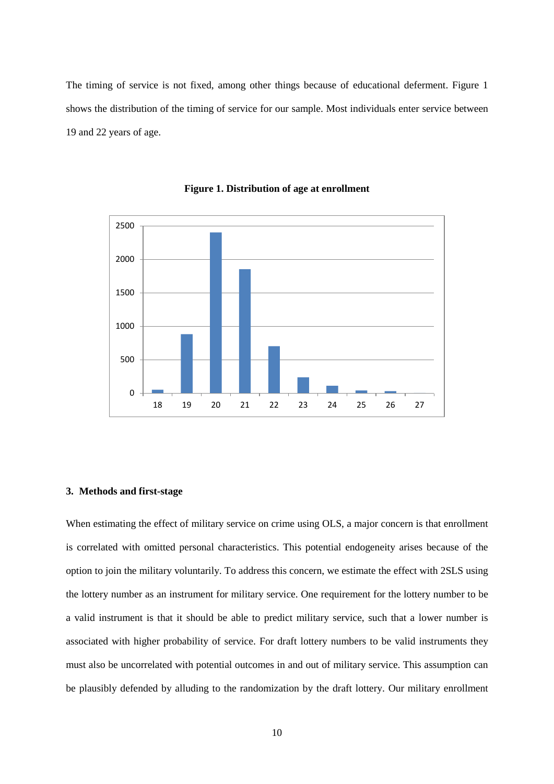The timing of service is not fixed, among other things because of educational deferment. Figure 1 shows the distribution of the timing of service for our sample. Most individuals enter service between 19 and 22 years of age.



**Figure 1. Distribution of age at enrollment**

#### **3. Methods and first-stage**

When estimating the effect of military service on crime using OLS, a major concern is that enrollment is correlated with omitted personal characteristics. This potential endogeneity arises because of the option to join the military voluntarily. To address this concern, we estimate the effect with 2SLS using the lottery number as an instrument for military service. One requirement for the lottery number to be a valid instrument is that it should be able to predict military service, such that a lower number is associated with higher probability of service. For draft lottery numbers to be valid instruments they must also be uncorrelated with potential outcomes in and out of military service. This assumption can be plausibly defended by alluding to the randomization by the draft lottery. Our military enrollment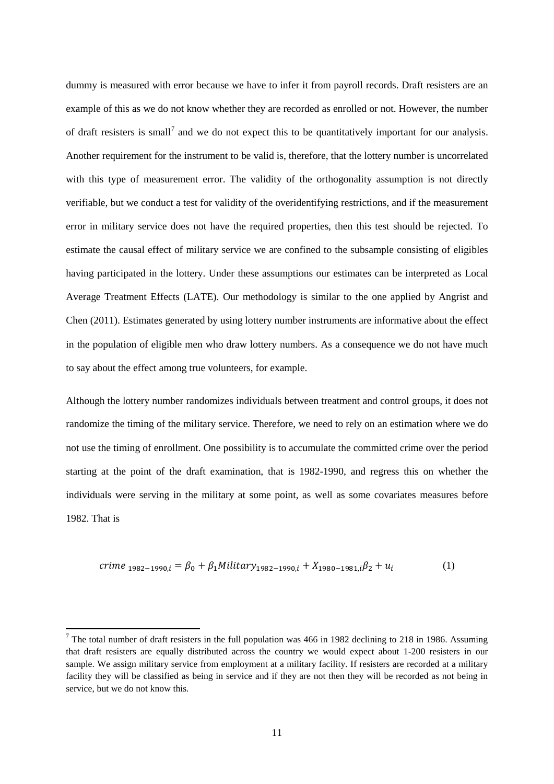dummy is measured with error because we have to infer it from payroll records. Draft resisters are an example of this as we do not know whether they are recorded as enrolled or not. However, the number of draft resisters is small<sup>[7](#page-12-0)</sup> and we do not expect this to be quantitatively important for our analysis. Another requirement for the instrument to be valid is, therefore, that the lottery number is uncorrelated with this type of measurement error. The validity of the orthogonality assumption is not directly verifiable, but we conduct a test for validity of the overidentifying restrictions, and if the measurement error in military service does not have the required properties, then this test should be rejected. To estimate the causal effect of military service we are confined to the subsample consisting of eligibles having participated in the lottery. Under these assumptions our estimates can be interpreted as Local Average Treatment Effects (LATE). Our methodology is similar to the one applied by Angrist and Chen (2011). Estimates generated by using lottery number instruments are informative about the effect in the population of eligible men who draw lottery numbers. As a consequence we do not have much to say about the effect among true volunteers, for example.

Although the lottery number randomizes individuals between treatment and control groups, it does not randomize the timing of the military service. Therefore, we need to rely on an estimation where we do not use the timing of enrollment. One possibility is to accumulate the committed crime over the period starting at the point of the draft examination, that is 1982-1990, and regress this on whether the individuals were serving in the military at some point, as well as some covariates measures before 1982. That is

$$
crime_{1982-1990,i} = \beta_0 + \beta_1 Military_{1982-1990,i} + X_{1980-1981,i}\beta_2 + u_i
$$
 (1)

**.** 

<span id="page-12-0"></span> $7$  The total number of draft resisters in the full population was 466 in 1982 declining to 218 in 1986. Assuming that draft resisters are equally distributed across the country we would expect about 1-200 resisters in our sample. We assign military service from employment at a military facility. If resisters are recorded at a military facility they will be classified as being in service and if they are not then they will be recorded as not being in service, but we do not know this.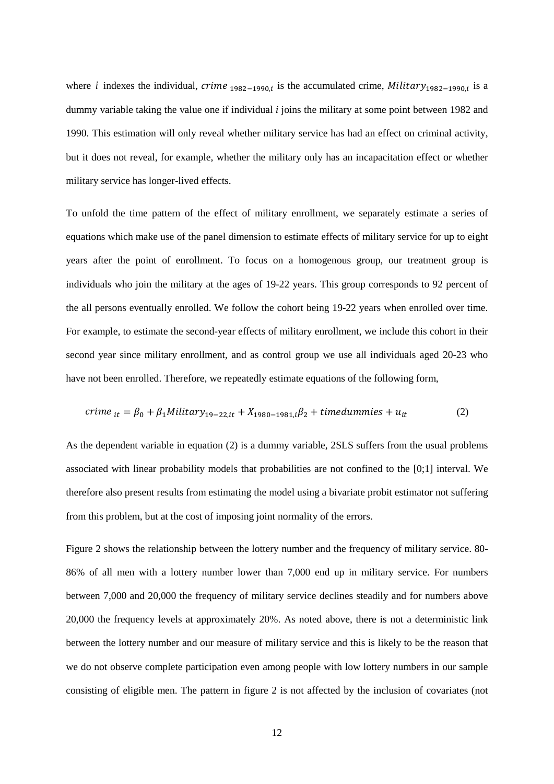where *i* indexes the individual,  $r$ *ime* <sub>1982−1990,*i*</sub> is the accumulated crime,  $Military$ <sub>1982−1990,*i* is a</sub> dummy variable taking the value one if individual *i* joins the military at some point between 1982 and 1990. This estimation will only reveal whether military service has had an effect on criminal activity, but it does not reveal, for example, whether the military only has an incapacitation effect or whether military service has longer-lived effects.

To unfold the time pattern of the effect of military enrollment, we separately estimate a series of equations which make use of the panel dimension to estimate effects of military service for up to eight years after the point of enrollment. To focus on a homogenous group, our treatment group is individuals who join the military at the ages of 19-22 years. This group corresponds to 92 percent of the all persons eventually enrolled. We follow the cohort being 19-22 years when enrolled over time. For example, to estimate the second-year effects of military enrollment, we include this cohort in their second year since military enrollment, and as control group we use all individuals aged 20-23 who have not been enrolled. Therefore, we repeatedly estimate equations of the following form,

$$
c \text{time}_{it} = \beta_0 + \beta_1 \text{Military}_{19-22, it} + X_{1980-1981, i} \beta_2 + \text{timedummies} + u_{it} \tag{2}
$$

As the dependent variable in equation (2) is a dummy variable, 2SLS suffers from the usual problems associated with linear probability models that probabilities are not confined to the [0;1] interval. We therefore also present results from estimating the model using a bivariate probit estimator not suffering from this problem, but at the cost of imposing joint normality of the errors.

Figure 2 shows the relationship between the lottery number and the frequency of military service. 80- 86% of all men with a lottery number lower than 7,000 end up in military service. For numbers between 7,000 and 20,000 the frequency of military service declines steadily and for numbers above 20,000 the frequency levels at approximately 20%. As noted above, there is not a deterministic link between the lottery number and our measure of military service and this is likely to be the reason that we do not observe complete participation even among people with low lottery numbers in our sample consisting of eligible men. The pattern in figure 2 is not affected by the inclusion of covariates (not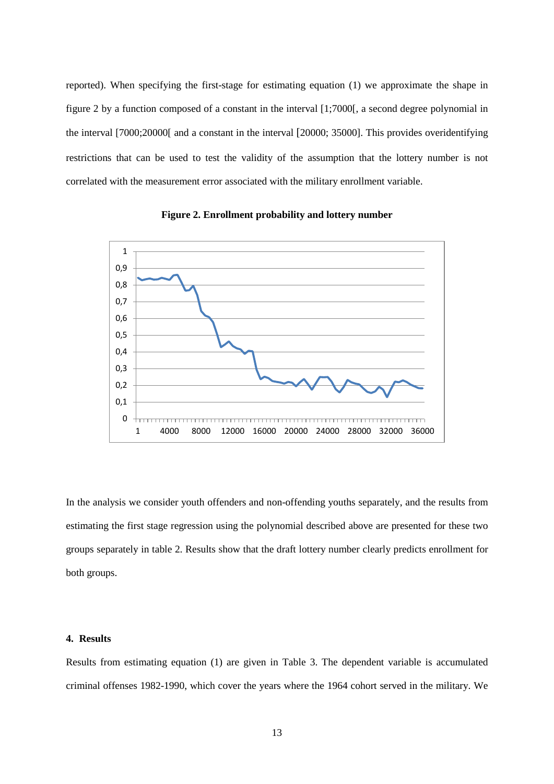reported). When specifying the first-stage for estimating equation (1) we approximate the shape in figure 2 by a function composed of a constant in the interval [1;7000[, a second degree polynomial in the interval [7000;20000[ and a constant in the interval [20000; 35000]. This provides overidentifying restrictions that can be used to test the validity of the assumption that the lottery number is not correlated with the measurement error associated with the military enrollment variable.



**Figure 2. Enrollment probability and lottery number**

In the analysis we consider youth offenders and non-offending youths separately, and the results from estimating the first stage regression using the polynomial described above are presented for these two groups separately in table 2. Results show that the draft lottery number clearly predicts enrollment for both groups.

#### **4. Results**

Results from estimating equation (1) are given in Table 3. The dependent variable is accumulated criminal offenses 1982-1990, which cover the years where the 1964 cohort served in the military. We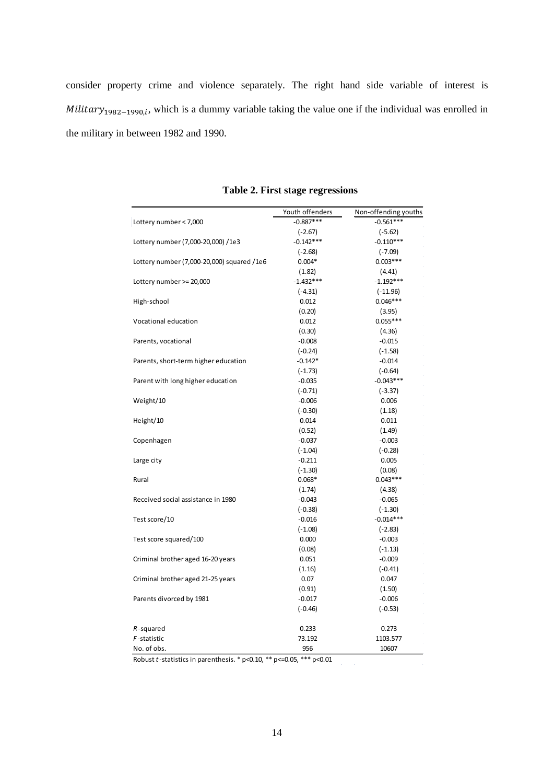consider property crime and violence separately. The right hand side variable of interest is  $Military_{1982-1990,i}$ , which is a dummy variable taking the value one if the individual was enrolled in the military in between 1982 and 1990.

|                                            | Youth offenders | Non-offending youths |  |  |  |  |
|--------------------------------------------|-----------------|----------------------|--|--|--|--|
| Lottery number < 7,000                     | $-0.887***$     | $-0.561***$          |  |  |  |  |
|                                            | $(-2.67)$       | $(-5.62)$            |  |  |  |  |
| Lottery number (7,000-20,000) /1e3         | $-0.142***$     | $-0.110***$          |  |  |  |  |
|                                            | $(-2.68)$       | $(-7.09)$            |  |  |  |  |
| Lottery number (7,000-20,000) squared /1e6 | $0.004*$        | $0.003***$           |  |  |  |  |
|                                            | (1.82)          | (4.41)               |  |  |  |  |
| Lottery number >= 20,000                   | $-1.432***$     | $-1.192***$          |  |  |  |  |
|                                            | $(-4.31)$       | $(-11.96)$           |  |  |  |  |
| High-school                                | 0.012           | $0.046***$           |  |  |  |  |
|                                            | (0.20)          | (3.95)               |  |  |  |  |
| Vocational education                       | 0.012           | $0.055***$           |  |  |  |  |
|                                            | (0.30)          | (4.36)               |  |  |  |  |
| Parents, vocational                        | $-0.008$        | $-0.015$             |  |  |  |  |
|                                            | $(-0.24)$       | $(-1.58)$            |  |  |  |  |
| Parents, short-term higher education       | $-0.142*$       | $-0.014$             |  |  |  |  |
|                                            | $(-1.73)$       | $(-0.64)$            |  |  |  |  |
| Parent with long higher education          | $-0.035$        | $-0.043***$          |  |  |  |  |
|                                            | $(-0.71)$       | $(-3.37)$            |  |  |  |  |
| Weight/10                                  | $-0.006$        | 0.006                |  |  |  |  |
|                                            | $(-0.30)$       | (1.18)               |  |  |  |  |
| Height/10                                  | 0.014           | 0.011                |  |  |  |  |
|                                            | (0.52)          | (1.49)               |  |  |  |  |
| Copenhagen                                 | $-0.037$        | $-0.003$             |  |  |  |  |
|                                            | $(-1.04)$       | $(-0.28)$            |  |  |  |  |
| Large city                                 | $-0.211$        | 0.005                |  |  |  |  |
|                                            | $(-1.30)$       | (0.08)               |  |  |  |  |
| Rural                                      | $0.068*$        | $0.043***$           |  |  |  |  |
|                                            | (1.74)          | (4.38)               |  |  |  |  |
| Received social assistance in 1980         | $-0.043$        | $-0.065$             |  |  |  |  |
|                                            | $(-0.38)$       | $(-1.30)$            |  |  |  |  |
| Test score/10                              | $-0.016$        | $-0.014***$          |  |  |  |  |
|                                            | $(-1.08)$       | $(-2.83)$            |  |  |  |  |
| Test score squared/100                     | 0.000           | $-0.003$             |  |  |  |  |
|                                            | (0.08)          | $(-1.13)$            |  |  |  |  |
| Criminal brother aged 16-20 years          | 0.051           | $-0.009$             |  |  |  |  |
|                                            | (1.16)          | $(-0.41)$            |  |  |  |  |
| Criminal brother aged 21-25 years          | 0.07            | 0.047                |  |  |  |  |
|                                            | (0.91)          | (1.50)               |  |  |  |  |
| Parents divorced by 1981                   | $-0.017$        | $-0.006$             |  |  |  |  |
|                                            | $(-0.46)$       | $(-0.53)$            |  |  |  |  |
| $R$ -squared                               | 0.233           | 0.273                |  |  |  |  |
| F-statistic                                | 73.192          | 1103.577             |  |  |  |  |
| No. of obs.                                | 956             | 10607                |  |  |  |  |

**Table 2. First stage regressions**

Robust *t*-statistics in parenthesis. \* p<0.10, \*\* p<=0.05, \*\*\* p<0.01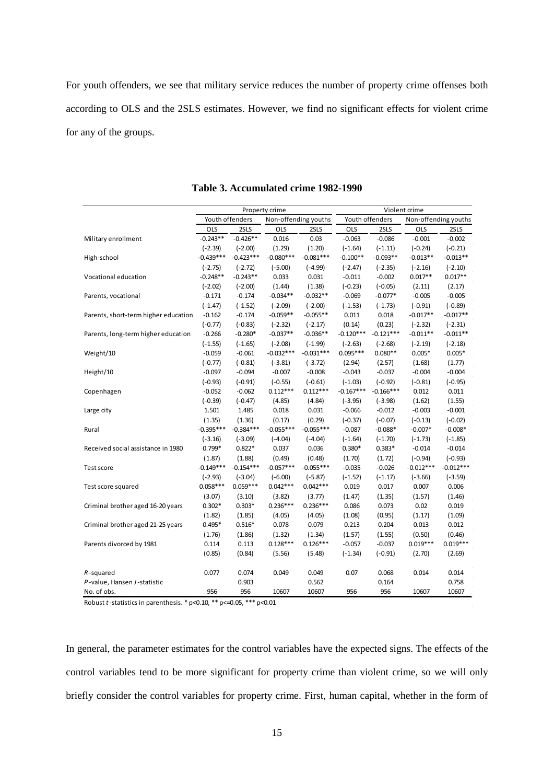For youth offenders, we see that military service reduces the number of property crime offenses both according to OLS and the 2SLS estimates. However, we find no significant effects for violent crime for any of the groups.

|                                      | Property crime |                 |                      | Violent crime |             |                 |                      |             |
|--------------------------------------|----------------|-----------------|----------------------|---------------|-------------|-----------------|----------------------|-------------|
|                                      |                | Youth offenders | Non-offending youths |               |             | Youth offenders | Non-offending youths |             |
|                                      | OLS            | 2SLS            | OLS                  | 2SLS          | OLS         | 2SLS            | OLS                  | 2SLS        |
| Military enrollment                  | $-0.243**$     | $-0.426**$      | 0.016                | 0.03          | $-0.063$    | $-0.086$        | $-0.001$             | $-0.002$    |
|                                      | $(-2.39)$      | $(-2.00)$       | (1.29)               | (1.20)        | $(-1.64)$   | $(-1.11)$       | $(-0.24)$            | $(-0.21)$   |
| High-school                          | $-0.439***$    | $-0.423***$     | $-0.080***$          | $-0.081***$   | $-0.100**$  | $-0.093**$      | $-0.013**$           | $-0.013**$  |
|                                      | $(-2.75)$      | $(-2.72)$       | $(-5.00)$            | $(-4.99)$     | $(-2.47)$   | $(-2.35)$       | $(-2.16)$            | $(-2.10)$   |
| Vocational education                 | $-0.248**$     | $-0.243**$      | 0.033                | 0.031         | $-0.011$    | $-0.002$        | $0.017**$            | $0.017**$   |
|                                      | $(-2.02)$      | $(-2.00)$       | (1.44)               | (1.38)        | $(-0.23)$   | $(-0.05)$       | (2.11)               | (2.17)      |
| Parents, vocational                  | $-0.171$       | $-0.174$        | $-0.034**$           | $-0.032**$    | $-0.069$    | $-0.077*$       | $-0.005$             | $-0.005$    |
|                                      | $(-1.47)$      | $(-1.52)$       | $(-2.09)$            | $(-2.00)$     | $(-1.53)$   | $(-1.73)$       | $(-0.91)$            | $(-0.89)$   |
| Parents, short-term higher education | $-0.162$       | $-0.174$        | $-0.059**$           | $-0.055**$    | 0.011       | 0.018           | $-0.017**$           | $-0.017**$  |
|                                      | $(-0.77)$      | $(-0.83)$       | $(-2.32)$            | $(-2.17)$     | (0.14)      | (0.23)          | $(-2.32)$            | $(-2.31)$   |
| Parents, long-term higher education  | $-0.266$       | $-0.280*$       | $-0.037**$           | $-0.036**$    | $-0.120***$ | $-0.121***$     | $-0.011**$           | $-0.011**$  |
|                                      | $(-1.55)$      | $(-1.65)$       | $(-2.08)$            | $(-1.99)$     | $(-2.63)$   | $(-2.68)$       | $(-2.19)$            | $(-2.18)$   |
| Weight/10                            | $-0.059$       | $-0.061$        | $-0.032***$          | $-0.031***$   | $0.095***$  | $0.080**$       | $0.005*$             | $0.005*$    |
|                                      | $(-0.77)$      | $(-0.81)$       | $(-3.81)$            | $(-3.72)$     | (2.94)      | (2.57)          | (1.68)               | (1.77)      |
| Height/10                            | $-0.097$       | $-0.094$        | $-0.007$             | $-0.008$      | $-0.043$    | $-0.037$        | $-0.004$             | $-0.004$    |
|                                      | $(-0.93)$      | $(-0.91)$       | $(-0.55)$            | $(-0.61)$     | $(-1.03)$   | $(-0.92)$       | $(-0.81)$            | $(-0.95)$   |
| Copenhagen                           | $-0.052$       | $-0.062$        | $0.112***$           | $0.112***$    | $-0.167***$ | $-0.166***$     | 0.012                | 0.011       |
|                                      | $(-0.39)$      | $(-0.47)$       | (4.85)               | (4.84)        | $(-3.95)$   | $(-3.98)$       | (1.62)               | (1.55)      |
| Large city                           | 1.501          | 1.485           | 0.018                | 0.031         | $-0.066$    | $-0.012$        | $-0.003$             | $-0.001$    |
|                                      | (1.35)         | (1.36)          | (0.17)               | (0.29)        | $(-0.37)$   | $(-0.07)$       | $(-0.13)$            | $(-0.02)$   |
| Rural                                | $-0.395***$    | $-0.384***$     | $-0.055***$          | $-0.055***$   | $-0.087$    | $-0.088*$       | $-0.007*$            | $-0.008*$   |
|                                      | $(-3.16)$      | $(-3.09)$       | $(-4.04)$            | $(-4.04)$     | $(-1.64)$   | $(-1.70)$       | $(-1.73)$            | $(-1.85)$   |
| Received social assistance in 1980   | $0.799*$       | $0.822*$        | 0.037                | 0.036         | $0.380*$    | $0.383*$        | $-0.014$             | $-0.014$    |
|                                      | (1.87)         | (1.88)          | (0.49)               | (0.48)        | (1.70)      | (1.72)          | $(-0.94)$            | $(-0.93)$   |
| Test score                           | $-0.149***$    | $-0.154***$     | $-0.057***$          | $-0.055***$   | $-0.035$    | $-0.026$        | $-0.012***$          | $-0.012***$ |
|                                      | $(-2.93)$      | $(-3.04)$       | $(-6.00)$            | $(-5.87)$     | $(-1.52)$   | $(-1.17)$       | $(-3.66)$            | $(-3.59)$   |
| Test score squared                   | $0.058***$     | $0.059***$      | $0.042***$           | $0.042***$    | 0.019       | 0.017           | 0.007                | 0.006       |
|                                      | (3.07)         | (3.10)          | (3.82)               | (3.77)        | (1.47)      | (1.35)          | (1.57)               | (1.46)      |
| Criminal brother aged 16-20 years    | $0.302*$       | $0.303*$        | $0.236***$           | $0.236***$    | 0.086       | 0.073           | 0.02                 | 0.019       |
|                                      | (1.82)         | (1.85)          | (4.05)               | (4.05)        | (1.08)      | (0.95)          | (1.17)               | (1.09)      |
| Criminal brother aged 21-25 years    | $0.495*$       | $0.516*$        | 0.078                | 0.079         | 0.213       | 0.204           | 0.013                | 0.012       |
|                                      | (1.76)         | (1.86)          | (1.32)               | (1.34)        | (1.57)      | (1.55)          | (0.50)               | (0.46)      |
| Parents divorced by 1981             | 0.114          | 0.113           | $0.128***$           | $0.126***$    | $-0.057$    | $-0.037$        | $0.019***$           | $0.019***$  |
|                                      | (0.85)         | (0.84)          | (5.56)               | (5.48)        | $(-1.34)$   | $(-0.91)$       | (2.70)               | (2.69)      |
| $R$ -squared                         | 0.077          | 0.074           | 0.049                | 0.049         | 0.07        | 0.068           | 0.014                | 0.014       |
| P-value, Hansen J-statistic          |                | 0.903           |                      | 0.562         |             | 0.164           |                      | 0.758       |
| No. of obs.                          | 956            | 956             | 10607                | 10607         | 956         | 956             | 10607                | 10607       |

**Table 3. Accumulated crime 1982-1990**

Robust *t*-statistics in parenthesis. \* p<0.10, \*\* p<=0.05, \*\*\* p<0.01

In general, the parameter estimates for the control variables have the expected signs. The effects of the control variables tend to be more significant for property crime than violent crime, so we will only briefly consider the control variables for property crime. First, human capital, whether in the form of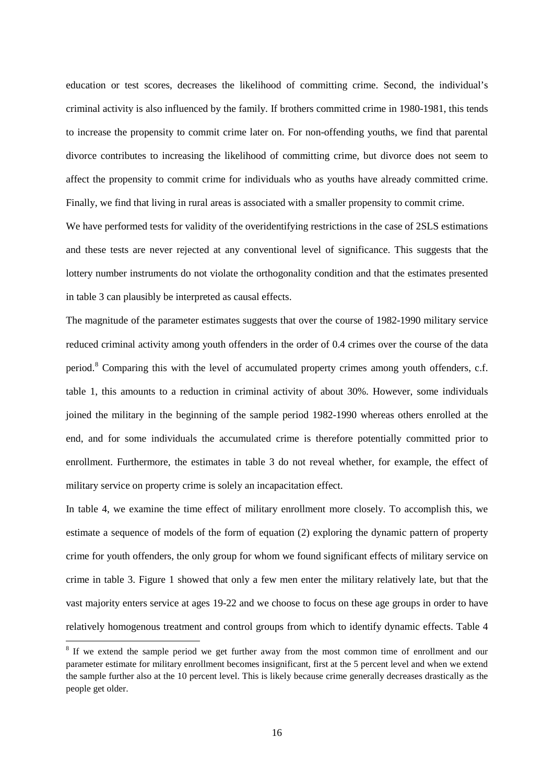education or test scores, decreases the likelihood of committing crime. Second, the individual's criminal activity is also influenced by the family. If brothers committed crime in 1980-1981, this tends to increase the propensity to commit crime later on. For non-offending youths, we find that parental divorce contributes to increasing the likelihood of committing crime, but divorce does not seem to affect the propensity to commit crime for individuals who as youths have already committed crime. Finally, we find that living in rural areas is associated with a smaller propensity to commit crime.

We have performed tests for validity of the overidentifying restrictions in the case of 2SLS estimations and these tests are never rejected at any conventional level of significance. This suggests that the lottery number instruments do not violate the orthogonality condition and that the estimates presented in table 3 can plausibly be interpreted as causal effects.

The magnitude of the parameter estimates suggests that over the course of 1982-1990 military service reduced criminal activity among youth offenders in the order of 0.4 crimes over the course of the data period.<sup>[8](#page-17-0)</sup> Comparing this with the level of accumulated property crimes among youth offenders, c.f. table 1, this amounts to a reduction in criminal activity of about 30%. However, some individuals joined the military in the beginning of the sample period 1982-1990 whereas others enrolled at the end, and for some individuals the accumulated crime is therefore potentially committed prior to enrollment. Furthermore, the estimates in table 3 do not reveal whether, for example, the effect of military service on property crime is solely an incapacitation effect.

In table 4, we examine the time effect of military enrollment more closely. To accomplish this, we estimate a sequence of models of the form of equation (2) exploring the dynamic pattern of property crime for youth offenders, the only group for whom we found significant effects of military service on crime in table 3. Figure 1 showed that only a few men enter the military relatively late, but that the vast majority enters service at ages 19-22 and we choose to focus on these age groups in order to have relatively homogenous treatment and control groups from which to identify dynamic effects. Table 4

 $\overline{a}$ 

<span id="page-17-0"></span><sup>&</sup>lt;sup>8</sup> If we extend the sample period we get further away from the most common time of enrollment and our parameter estimate for military enrollment becomes insignificant, first at the 5 percent level and when we extend the sample further also at the 10 percent level. This is likely because crime generally decreases drastically as the people get older.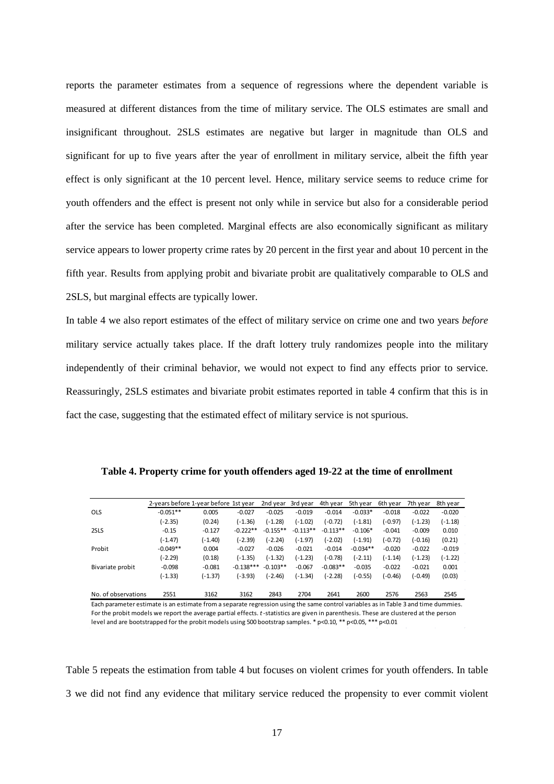reports the parameter estimates from a sequence of regressions where the dependent variable is measured at different distances from the time of military service. The OLS estimates are small and insignificant throughout. 2SLS estimates are negative but larger in magnitude than OLS and significant for up to five years after the year of enrollment in military service, albeit the fifth year effect is only significant at the 10 percent level. Hence, military service seems to reduce crime for youth offenders and the effect is present not only while in service but also for a considerable period after the service has been completed. Marginal effects are also economically significant as military service appears to lower property crime rates by 20 percent in the first year and about 10 percent in the fifth year. Results from applying probit and bivariate probit are qualitatively comparable to OLS and 2SLS, but marginal effects are typically lower.

In table 4 we also report estimates of the effect of military service on crime one and two years *before* military service actually takes place. If the draft lottery truly randomizes people into the military independently of their criminal behavior, we would not expect to find any effects prior to service. Reassuringly, 2SLS estimates and bivariate probit estimates reported in table 4 confirm that this is in fact the case, suggesting that the estimated effect of military service is not spurious.

|                     | 2-years before 1-year before 1st year |           |             | 2nd year   | 3rd year   | 4th year   | 5th year   | 6th year  | 7th year  | 8th year  |
|---------------------|---------------------------------------|-----------|-------------|------------|------------|------------|------------|-----------|-----------|-----------|
| <b>OLS</b>          | $-0.051**$                            | 0.005     | $-0.027$    | $-0.025$   | $-0.019$   | $-0.014$   | $-0.033*$  | $-0.018$  | $-0.022$  | $-0.020$  |
|                     | $(-2.35)$                             | (0.24)    | $(-1.36)$   | $(-1.28)$  | $(-1.02)$  | $(-0.72)$  | $(-1.81)$  | $(-0.97)$ | $(-1.23)$ | (-1.18)   |
| 2SLS                | $-0.15$                               | $-0.127$  | $-0.222**$  | $-0.155**$ | $-0.113**$ | $-0.113**$ | $-0.106*$  | $-0.041$  | $-0.009$  | 0.010     |
|                     | $(-1.47)$                             | $(-1.40)$ | $(-2.39)$   | $(-2.24)$  | $(-1.97)$  | $(-2.02)$  | $(-1.91)$  | $(-0.72)$ | $(-0.16)$ | (0.21)    |
| Probit              | $-0.049**$                            | 0.004     | $-0.027$    | $-0.026$   | $-0.021$   | $-0.014$   | $-0.034**$ | $-0.020$  | $-0.022$  | $-0.019$  |
|                     | $(-2.29)$                             | (0.18)    | $(-1.35)$   | $(-1.32)$  | $(-1.23)$  | $(-0.78)$  | $(-2.11)$  | $(-1.14)$ | $(-1.23)$ | $(-1.22)$ |
| Bivariate probit    | $-0.098$                              | $-0.081$  | $-0.138***$ | $-0.103**$ | $-0.067$   | $-0.083**$ | $-0.035$   | $-0.022$  | $-0.021$  | 0.001     |
|                     | $(-1.33)$                             | $(-1.37)$ | $(-3.93)$   | $(-2.46)$  | $(-1.34)$  | $(-2.28)$  | $(-0.55)$  | $(-0.46)$ | $(-0.49)$ | (0.03)    |
| No. of observations | 2551                                  | 3162      | 3162        | 2843       | 2704       | 2641       | 2600       | 2576      | 2563      | 2545      |

**Table 4. Property crime for youth offenders aged 19-22 at the time of enrollment**

Each parameter estimate is an estimate from a separate regression using the same control variables as in Table 3 and time dummies. For the probit models we report the average partial effects. *t*-statistics are given in parenthesis. These are clustered at the person level and are bootstrapped for the probit models using 500 bootstrap samples. \* p<0.10, \*\* p<0.05, \*\*\* p<0.01

Table 5 repeats the estimation from table 4 but focuses on violent crimes for youth offenders. In table 3 we did not find any evidence that military service reduced the propensity to ever commit violent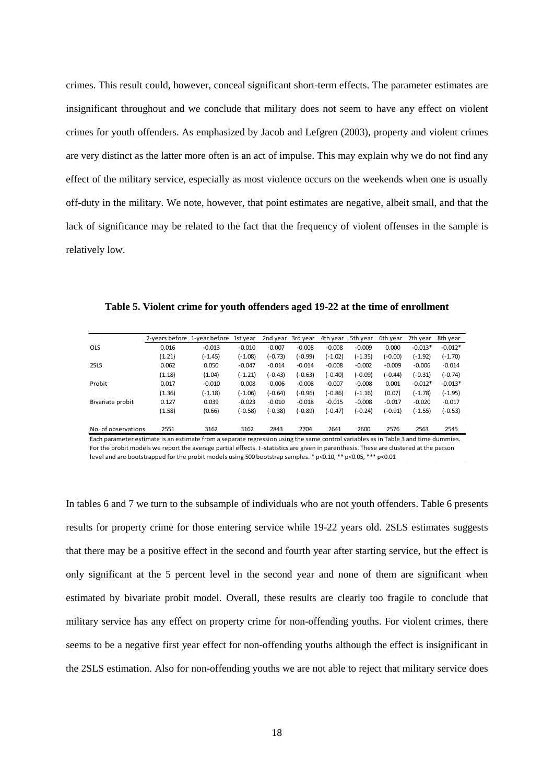crimes. This result could, however, conceal significant short-term effects. The parameter estimates are insignificant throughout and we conclude that military does not seem to have any effect on violent crimes for youth offenders. As emphasized by Jacob and Lefgren (2003), property and violent crimes are very distinct as the latter more often is an act of impulse. This may explain why we do not find any effect of the military service, especially as most violence occurs on the weekends when one is usually off-duty in the military. We note, however, that point estimates are negative, albeit small, and that the lack of significance may be related to the fact that the frequency of violent offenses in the sample is relatively low.

|                     | 2-vears before | 1-year before | 1st vear  | 2nd year  | 3rd year  | 4th year  | 5th vear  | 6th year  | 7th year  | 8th year  |
|---------------------|----------------|---------------|-----------|-----------|-----------|-----------|-----------|-----------|-----------|-----------|
| <b>OLS</b>          | 0.016          | $-0.013$      | $-0.010$  | $-0.007$  | $-0.008$  | $-0.008$  | $-0.009$  | 0.000     | $-0.013*$ | $-0.012*$ |
|                     | (1.21)         | (-1.45)       | $(-1.08)$ | $(-0.73)$ | $(-0.99)$ | $(-1.02)$ | $(-1.35)$ | $(-0.00)$ | $(-1.92)$ | $(-1.70)$ |
| 2SLS                | 0.062          | 0.050         | $-0.047$  | $-0.014$  | $-0.014$  | $-0.008$  | $-0.002$  | $-0.009$  | $-0.006$  | $-0.014$  |
|                     | (1.18)         | (1.04)        | $(-1.21)$ | $(-0.43)$ | $(-0.63)$ | (-0.40)   | $(-0.09)$ | (-0.44)   | $(-0.31)$ | $(-0.74)$ |
| Probit              | 0.017          | $-0.010$      | $-0.008$  | $-0.006$  | $-0.008$  | $-0.007$  | $-0.008$  | 0.001     | $-0.012*$ | $-0.013*$ |
|                     | (1.36)         | $(-1.18)$     | $(-1.06)$ | $(-0.64)$ | $(-0.96)$ | $(-0.86)$ | $(-1.16)$ | (0.07)    | $(-1.78)$ | $(-1.95)$ |
| Bivariate probit    | 0.127          | 0.039         | $-0.023$  | $-0.010$  | $-0.018$  | $-0.015$  | $-0.008$  | $-0.017$  | $-0.020$  | $-0.017$  |
|                     | (1.58)         | (0.66)        | $(-0.58)$ | $(-0.38)$ | $(-0.89)$ | (-0.47)   | $(-0.24)$ | $(-0.91)$ | (-1.55)   | (-0.53)   |
|                     |                |               |           |           |           |           |           |           |           |           |
| No. of observations | 2551           | 3162          | 3162      | 2843      | 2704      | 2641      | 2600      | 2576      | 2563      | 2545      |

**Table 5. Violent crime for youth offenders aged 19-22 at the time of enrollment**

Each parameter estimate is an estimate from a separate regression using the same control variables as in Table 3 and time dummies. For the probit models we report the average partial effects. *t*-statistics are given in parenthesis. These are clustered at the person level and are bootstrapped for the probit models using 500 bootstrap samples. \* p<0.10, \*\* p<0.05, \*\*\* p<0.01

In tables 6 and 7 we turn to the subsample of individuals who are not youth offenders. Table 6 presents results for property crime for those entering service while 19-22 years old. 2SLS estimates suggests that there may be a positive effect in the second and fourth year after starting service, but the effect is only significant at the 5 percent level in the second year and none of them are significant when estimated by bivariate probit model. Overall, these results are clearly too fragile to conclude that military service has any effect on property crime for non-offending youths. For violent crimes, there seems to be a negative first year effect for non-offending youths although the effect is insignificant in the 2SLS estimation. Also for non-offending youths we are not able to reject that military service does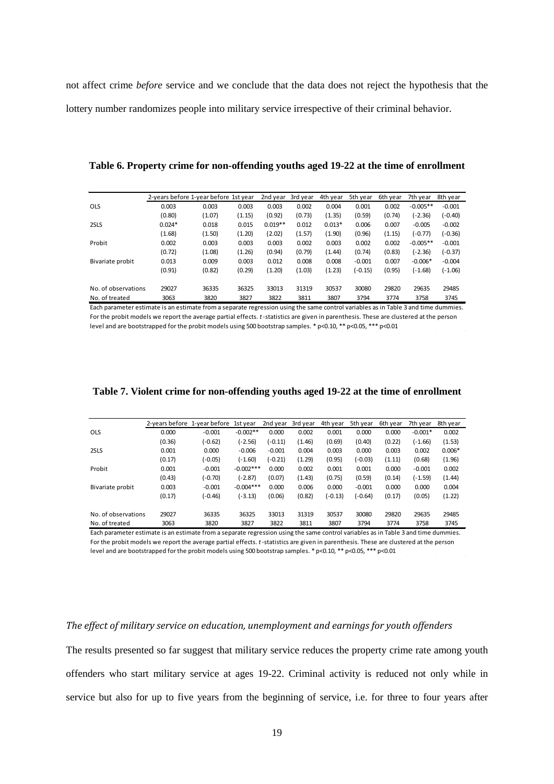not affect crime *before* service and we conclude that the data does not reject the hypothesis that the lottery number randomizes people into military service irrespective of their criminal behavior.

|                     | 2-years before 1-year before 1st year |        |        | 2nd year  | 3rd year | 4th year | 5th vear | 6th vear | 7th vear   | 8th year  |
|---------------------|---------------------------------------|--------|--------|-----------|----------|----------|----------|----------|------------|-----------|
| <b>OLS</b>          | 0.003                                 | 0.003  | 0.003  | 0.003     | 0.002    | 0.004    | 0.001    | 0.002    | $-0.005**$ | $-0.001$  |
|                     | (0.80)                                | (1.07) | (1.15) | (0.92)    | (0.73)   | (1.35)   | (0.59)   | (0.74)   | $(-2.36)$  | $(-0.40)$ |
| 2SLS                | $0.024*$                              | 0.018  | 0.015  | $0.019**$ | 0.012    | $0.013*$ | 0.006    | 0.007    | $-0.005$   | $-0.002$  |
|                     | (1.68)                                | (1.50) | (1.20) | (2.02)    | (1.57)   | (1.90)   | (0.96)   | (1.15)   | (-0.77)    | $(-0.36)$ |
| Probit              | 0.002                                 | 0.003  | 0.003  | 0.003     | 0.002    | 0.003    | 0.002    | 0.002    | $-0.005**$ | $-0.001$  |
|                     | (0.72)                                | (1.08) | (1.26) | (0.94)    | (0.79)   | (1.44)   | (0.74)   | (0.83)   | $(-2.36)$  | $(-0.37)$ |
| Bivariate probit    | 0.013                                 | 0.009  | 0.003  | 0.012     | 0.008    | 0.008    | $-0.001$ | 0.007    | $-0.006*$  | $-0.004$  |
|                     | (0.91)                                | (0.82) | (0.29) | (1.20)    | (1.03)   | (1.23)   | (-0.15)  | (0.95)   | $(-1.68)$  | (-1.06)   |
| No. of observations | 29027                                 | 36335  | 36325  | 33013     | 31319    | 30537    | 30080    | 29820    | 29635      | 29485     |
| No. of treated      | 3063                                  | 3820   | 3827   | 3822      | 3811     | 3807     | 3794     | 3774     | 3758       | 3745      |

**Table 6. Property crime for non-offending youths aged 19-22 at the time of enrollment**

Each parameter estimate is an estimate from a separate regression using the same control variables as in Table 3 and time dummies. For the probit models we report the average partial effects. *t*-statistics are given in parenthesis. These are clustered at the person level and are bootstrapped for the probit models using 500 bootstrap samples. \* p<0.10, \*\* p<0.05, \*\*\* p<0.01

|                     | 2-vears before | 1-year before | 1st vear    | 2nd year  | 3rd year | 4th year  | 5th year  | 6th year | 7th year  | 8th year |
|---------------------|----------------|---------------|-------------|-----------|----------|-----------|-----------|----------|-----------|----------|
| <b>OLS</b>          | 0.000          | $-0.001$      | $-0.002**$  | 0.000     | 0.002    | 0.001     | 0.000     | 0.000    | $-0.001*$ | 0.002    |
|                     | (0.36)         | $(-0.62)$     | $(-2.56)$   | $(-0.11)$ | (1.46)   | (0.69)    | (0.40)    | (0.22)   | (-1.66)   | (1.53)   |
| 2SLS                | 0.001          | 0.000         | $-0.006$    | $-0.001$  | 0.004    | 0.003     | 0.000     | 0.003    | 0.002     | $0.006*$ |
|                     | (0.17)         | (-0.05)       | $(-1.60)$   | $(-0.21)$ | (1.29)   | (0.95)    | $(-0.03)$ | (1.11)   | (0.68)    | (1.96)   |
| Probit              | 0.001          | $-0.001$      | $-0.002***$ | 0.000     | 0.002    | 0.001     | 0.001     | 0.000    | $-0.001$  | 0.002    |
|                     | (0.43)         | $(-0.70)$     | (-2.87)     | (0.07)    | (1.43)   | (0.75)    | (0.59)    | (0.14)   | (-1.59)   | (1.44)   |
| Bivariate probit    | 0.003          | $-0.001$      | $-0.004***$ | 0.000     | 0.006    | 0.000     | $-0.001$  | 0.000    | 0.000     | 0.004    |
|                     | (0.17)         | (-0.46)       | $(-3.13)$   | (0.06)    | (0.82)   | $(-0.13)$ | $(-0.64)$ | (0.17)   | (0.05)    | (1.22)   |
| No. of observations | 29027          | 36335         | 36325       | 33013     | 31319    | 30537     | 30080     | 29820    | 29635     | 29485    |
| No. of treated      | 3063           | 3820          | 3827        | 3822      | 3811     | 3807      | 3794      | 3774     | 3758      | 3745     |

#### **Table 7. Violent crime for non-offending youths aged 19-22 at the time of enrollment**

Each parameter estimate is an estimate from a separate regression using the same control variables as in Table 3 and time dummies. For the probit models we report the average partial effects. *t*-statistics are given in parenthesis. These are clustered at the person level and are bootstrapped for the probit models using 500 bootstrap samples. \* p<0.10, \*\* p<0.05, \*\*\* p<0.01

#### *The effect of military service on education, unemployment and earnings for youth offenders*

The results presented so far suggest that military service reduces the property crime rate among youth offenders who start military service at ages 19-22. Criminal activity is reduced not only while in service but also for up to five years from the beginning of service, i.e. for three to four years after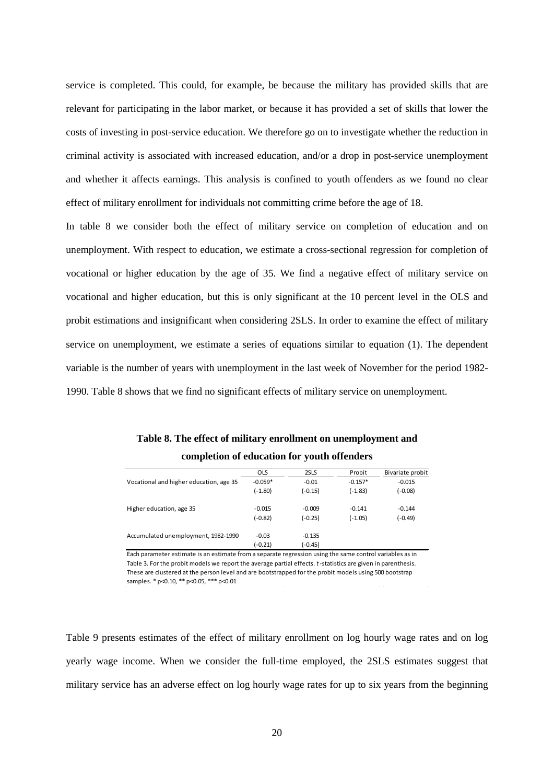service is completed. This could, for example, be because the military has provided skills that are relevant for participating in the labor market, or because it has provided a set of skills that lower the costs of investing in post-service education. We therefore go on to investigate whether the reduction in criminal activity is associated with increased education, and/or a drop in post-service unemployment and whether it affects earnings. This analysis is confined to youth offenders as we found no clear effect of military enrollment for individuals not committing crime before the age of 18.

In table 8 we consider both the effect of military service on completion of education and on unemployment. With respect to education, we estimate a cross-sectional regression for completion of vocational or higher education by the age of 35. We find a negative effect of military service on vocational and higher education, but this is only significant at the 10 percent level in the OLS and probit estimations and insignificant when considering 2SLS. In order to examine the effect of military service on unemployment, we estimate a series of equations similar to equation (1). The dependent variable is the number of years with unemployment in the last week of November for the period 1982- 1990. Table 8 shows that we find no significant effects of military service on unemployment.

|                                         | <b>OLS</b> | 2SLS      | Probit    | Bivariate probit |
|-----------------------------------------|------------|-----------|-----------|------------------|
| Vocational and higher education, age 35 | $-0.059*$  | $-0.01$   | $-0.157*$ | $-0.015$         |
|                                         | (-1.80)    | $(-0.15)$ | $(-1.83)$ | $(-0.08)$        |
| Higher education, age 35                | $-0.015$   | $-0.009$  | $-0.141$  | $-0.144$         |
|                                         | (-0.82)    | $(-0.25)$ | $(-1.05)$ | $(-0.49)$        |
| Accumulated unemployment, 1982-1990     | $-0.03$    | $-0.135$  |           |                  |
|                                         | (-0.21)    | $(-0.45)$ |           |                  |

**Table 8. The effect of military enrollment on unemployment and completion of education for youth offenders**

Each parameter estimate is an estimate from a separate regression using the same control variables as in Table 3. For the probit models we report the average partial effects. *t*-statistics are given in parenthesis. These are clustered at the person level and are bootstrapped for the probit models using 500 bootstrap samples. \* p<0.10, \*\* p<0.05, \*\*\* p<0.01

Table 9 presents estimates of the effect of military enrollment on log hourly wage rates and on log yearly wage income. When we consider the full-time employed, the 2SLS estimates suggest that military service has an adverse effect on log hourly wage rates for up to six years from the beginning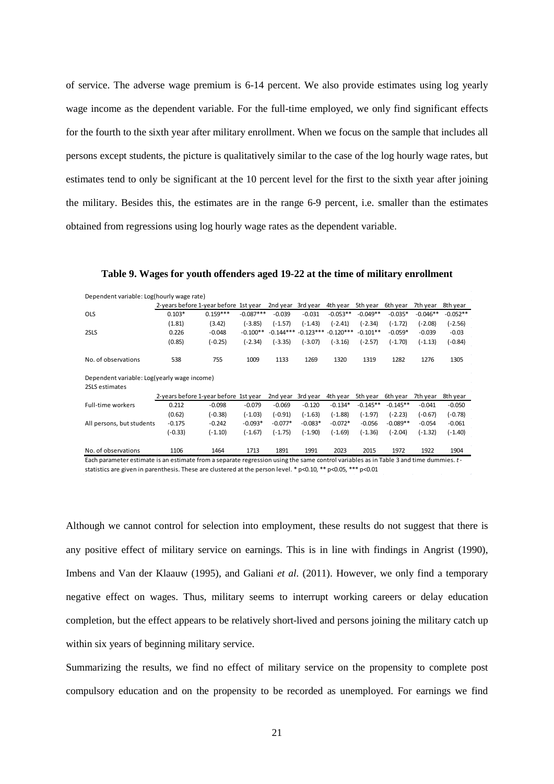of service. The adverse wage premium is 6-14 percent. We also provide estimates using log yearly wage income as the dependent variable. For the full-time employed, we only find significant effects for the fourth to the sixth year after military enrollment. When we focus on the sample that includes all persons except students, the picture is qualitatively similar to the case of the log hourly wage rates, but estimates tend to only be significant at the 10 percent level for the first to the sixth year after joining the military. Besides this, the estimates are in the range 6-9 percent, i.e. smaller than the estimates obtained from regressions using log hourly wage rates as the dependent variable.

| Dependent variable: Log(hourly wage rate)   |           |                                       |             |             |           |                         |            |            |            |            |  |
|---------------------------------------------|-----------|---------------------------------------|-------------|-------------|-----------|-------------------------|------------|------------|------------|------------|--|
|                                             |           | 2-years before 1-year before 1st year |             | 2nd year    | 3rd year  | 4th year                | 5th year   | 6th year   | 7th vear   | 8th year   |  |
| <b>OLS</b>                                  | $0.103*$  | $0.159***$                            | $-0.087***$ | $-0.039$    | $-0.031$  | $-0.053**$              | $-0.049**$ | $-0.035*$  | $-0.046**$ | $-0.052**$ |  |
|                                             | (1.81)    | (3.42)                                | (-3.85)     | $(-1.57)$   | $(-1.43)$ | $(-2.41)$               | $(-2.34)$  | $(-1.72)$  | $-2.08$    | $(-2.56)$  |  |
| 2SLS                                        | 0.226     | $-0.048$                              | $-0.100**$  | $-0.144***$ |           | $-0.123***$ $-0.120***$ | $-0.101**$ | $-0.059*$  | $-0.039$   | $-0.03$    |  |
|                                             | (0.85)    | $(-0.25)$                             | $(-2.34)$   | $(-3.35)$   | $(-3.07)$ | $(-3.16)$               | $(-2.57)$  | $(-1.70)$  | (-1.13)    | (-0.84)    |  |
| No. of observations                         | 538       | 755                                   | 1009        | 1133        | 1269      | 1320                    | 1319       | 1282       | 1276       | 1305       |  |
| Dependent variable: Log(yearly wage income) |           |                                       |             |             |           |                         |            |            |            |            |  |
| 2SLS estimates                              |           |                                       |             |             |           |                         |            |            |            |            |  |
|                                             |           | 2-years before 1-year before 1st year |             | 2nd year    | 3rd year  | 4th year                | 5th year   | 6th year   | 7th year   | 8th year   |  |
| <b>Full-time workers</b>                    | 0.212     | $-0.098$                              | $-0.079$    | $-0.069$    | $-0.120$  | $-0.134*$               | $-0.145**$ | $-0.145**$ | $-0.041$   | $-0.050$   |  |
|                                             | (0.62)    | $(-0.38)$                             | $(-1.03)$   | (-0.91)     | $(-1.63)$ | $(-1.88)$               | $(-1.97)$  | $(-2.23)$  | (-0.67)    | (-0.78)    |  |
| All persons, but students                   | $-0.175$  | $-0.242$                              | $-0.093*$   | $-0.077*$   | $-0.083*$ | $-0.072*$               | $-0.056$   | $-0.089**$ | $-0.054$   | $-0.061$   |  |
|                                             | $(-0.33)$ | $(-1.10)$                             | $(-1.67)$   | $(-1.75)$   | $(-1.90)$ | $(-1.69)$               | $(-1.36)$  | $(-2.04)$  | (-1.32)    | (-1.40)    |  |
| No. of observations                         | 1106      | 1464                                  | 1713        | 1891        | 1991      | 2023                    | 2015       | 1972       | 1922       | 1904       |  |

**Table 9. Wages for youth offenders aged 19-22 at the time of military enrollment**

Each parameter estimate is an estimate from a separate regression using the same control variables as in Table 3 and time dummies. *t*statistics are given in parenthesis. These are clustered at the person level. \* p<0.10, \*\* p<0.05, \*\*\* p<0.01

Although we cannot control for selection into employment, these results do not suggest that there is any positive effect of military service on earnings. This is in line with findings in Angrist (1990), Imbens and Van der Klaauw (1995), and Galiani *et al.* (2011). However, we only find a temporary negative effect on wages. Thus, military seems to interrupt working careers or delay education completion, but the effect appears to be relatively short-lived and persons joining the military catch up within six years of beginning military service.

Summarizing the results, we find no effect of military service on the propensity to complete post compulsory education and on the propensity to be recorded as unemployed. For earnings we find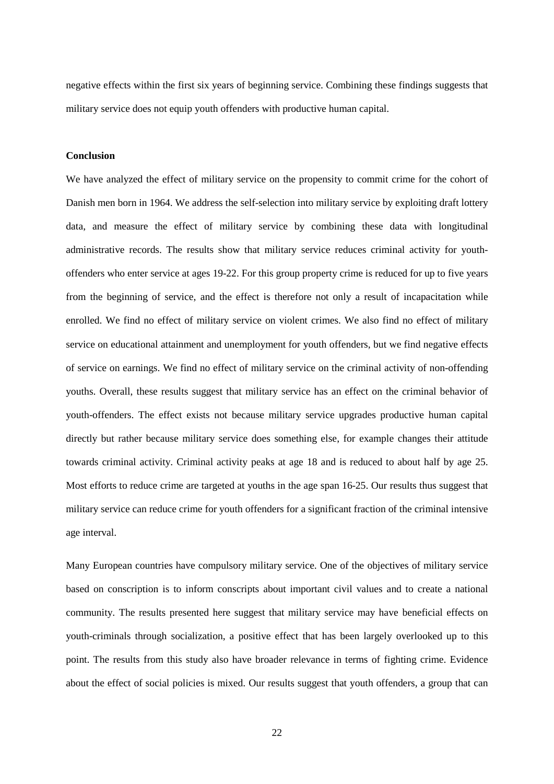negative effects within the first six years of beginning service. Combining these findings suggests that military service does not equip youth offenders with productive human capital.

#### **Conclusion**

We have analyzed the effect of military service on the propensity to commit crime for the cohort of Danish men born in 1964. We address the self-selection into military service by exploiting draft lottery data, and measure the effect of military service by combining these data with longitudinal administrative records. The results show that military service reduces criminal activity for youthoffenders who enter service at ages 19-22. For this group property crime is reduced for up to five years from the beginning of service, and the effect is therefore not only a result of incapacitation while enrolled. We find no effect of military service on violent crimes. We also find no effect of military service on educational attainment and unemployment for youth offenders, but we find negative effects of service on earnings. We find no effect of military service on the criminal activity of non-offending youths. Overall, these results suggest that military service has an effect on the criminal behavior of youth-offenders. The effect exists not because military service upgrades productive human capital directly but rather because military service does something else, for example changes their attitude towards criminal activity. Criminal activity peaks at age 18 and is reduced to about half by age 25. Most efforts to reduce crime are targeted at youths in the age span 16-25. Our results thus suggest that military service can reduce crime for youth offenders for a significant fraction of the criminal intensive age interval.

Many European countries have compulsory military service. One of the objectives of military service based on conscription is to inform conscripts about important civil values and to create a national community. The results presented here suggest that military service may have beneficial effects on youth-criminals through socialization, a positive effect that has been largely overlooked up to this point. The results from this study also have broader relevance in terms of fighting crime. Evidence about the effect of social policies is mixed. Our results suggest that youth offenders, a group that can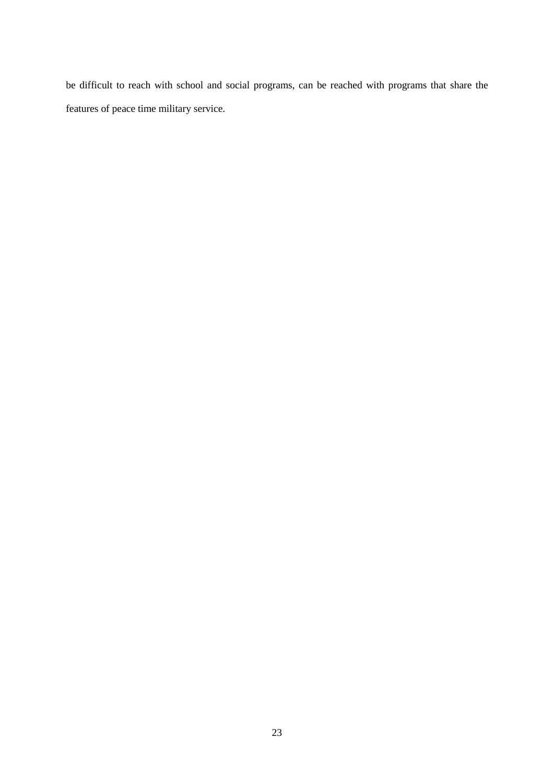be difficult to reach with school and social programs, can be reached with programs that share the features of peace time military service.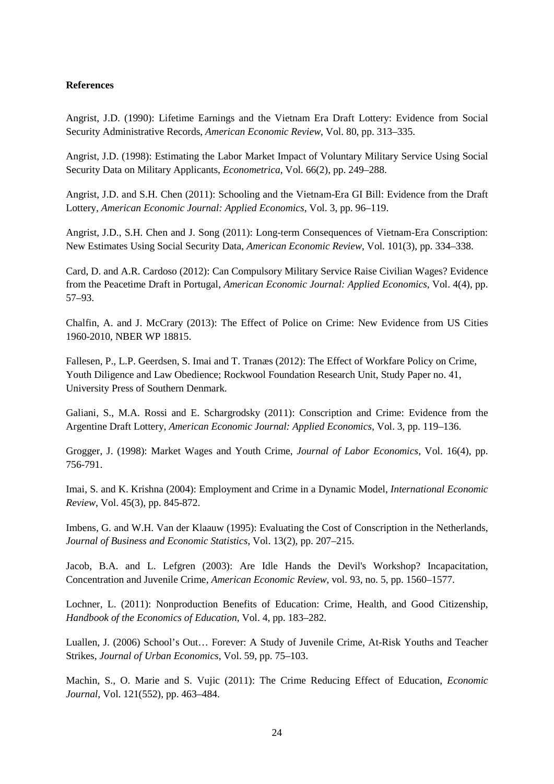#### **References**

Angrist, J.D. (1990): Lifetime Earnings and the Vietnam Era Draft Lottery: Evidence from Social Security Administrative Records, *American Economic Review*, Vol. 80, pp. 313–335.

Angrist, J.D. (1998): Estimating the Labor Market Impact of Voluntary Military Service Using Social Security Data on Military Applicants, *Econometrica*, Vol. 66(2), pp. 249–288.

Angrist, J.D. and S.H. Chen (2011): Schooling and the Vietnam-Era GI Bill: Evidence from the Draft Lottery, *American Economic Journal: Applied Economics*, Vol. 3, pp. 96–119.

Angrist, J.D., S.H. Chen and J. Song (2011): Long-term Consequences of Vietnam-Era Conscription: New Estimates Using Social Security Data, *American Economic Review*, Vol. 101(3), pp. 334–338.

Card, D. and A.R. Cardoso (2012): Can Compulsory Military Service Raise Civilian Wages? Evidence from the Peacetime Draft in Portugal, *American Economic Journal: Applied Economics*, Vol. 4(4), pp. 57–93.

Chalfin, A. and J. McCrary (2013): The Effect of Police on Crime: New Evidence from US Cities 1960-2010, NBER WP 18815.

Fallesen, P., L.P. Geerdsen, S. Imai and T. Tranæs (2012): The Effect of Workfare Policy on Crime, Youth Diligence and Law Obedience; Rockwool Foundation Research Unit, Study Paper no. 41, University Press of Southern Denmark.

Galiani, S., M.A. Rossi and E. Schargrodsky (2011): Conscription and Crime: Evidence from the Argentine Draft Lottery, *American Economic Journal: Applied Economics*, Vol. 3, pp. 119–136.

Grogger, J. (1998): Market Wages and Youth Crime, *Journal of Labor Economics*, Vol. 16(4), pp. 756-791.

Imai, S. and K. Krishna (2004): Employment and Crime in a Dynamic Model, *International Economic Review*, Vol. 45(3), pp. 845-872.

Imbens, G. and W.H. Van der Klaauw (1995): Evaluating the Cost of Conscription in the Netherlands, *Journal of Business and Economic Statistics*, Vol. 13(2), pp. 207–215.

Jacob, B.A. and L. Lefgren (2003): Are Idle Hands the Devil's Workshop? Incapacitation, Concentration and Juvenile Crime, *American Economic Review*, vol. 93, no. 5, pp. 1560–1577.

Lochner, L. (2011): Nonproduction Benefits of Education: Crime, Health, and Good Citizenship, *Handbook of the Economics of Education*, Vol. 4, pp. 183–282.

Luallen, J. (2006) School's Out… Forever: A Study of Juvenile Crime, At-Risk Youths and Teacher Strikes, *Journal of Urban Economics*, Vol. 59, pp. 75–103.

Machin, S., O. Marie and S. Vujic (2011): The Crime Reducing Effect of Education, *Economic Journal*, Vol. 121(552), pp. 463–484.